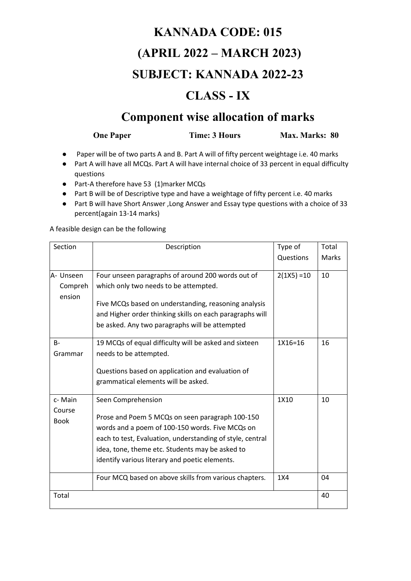# **KANNADA CODE: 015 (APRIL 2022 – MARCH 2023) SUBJECT: KANNADA 2022-23**

#### **CLASS - IX**

#### **Component wise allocation of marks**

**One Paper** Time: 3 Hours Max. Marks: 80

- Paper will be of two parts A and B. Part A will of fifty percent weightage i.e. 40 marks
- Part A will have all MCQs. Part A will have internal choice of 33 percent in equal difficulty questions
- Part-A therefore have 53 (1)marker MCQs
- Part B will be of Descriptive type and have a weightage of fifty percent i.e. 40 marks
- Part B will have Short Answer ,Long Answer and Essay type questions with a choice of 33 percent(again 13-14 marks)

A feasible design can be the following

| Section                         | Description                                                                                                                                                                                                                                                                                | Type of       | Total        |
|---------------------------------|--------------------------------------------------------------------------------------------------------------------------------------------------------------------------------------------------------------------------------------------------------------------------------------------|---------------|--------------|
|                                 |                                                                                                                                                                                                                                                                                            | Questions     | <b>Marks</b> |
| A- Unseen<br>Compreh<br>ension  | Four unseen paragraphs of around 200 words out of<br>which only two needs to be attempted.<br>Five MCQs based on understanding, reasoning analysis<br>and Higher order thinking skills on each paragraphs will<br>be asked. Any two paragraphs will be attempted                           | $2(1X5) = 10$ | 10           |
| <b>B-</b><br>Grammar            | 19 MCQs of equal difficulty will be asked and sixteen<br>needs to be attempted.<br>Questions based on application and evaluation of<br>grammatical elements will be asked.                                                                                                                 | 1X16=16       | 16           |
| c-Main<br>Course<br><b>Book</b> | Seen Comprehension<br>Prose and Poem 5 MCQs on seen paragraph 100-150<br>words and a poem of 100-150 words. Five MCQs on<br>each to test, Evaluation, understanding of style, central<br>idea, tone, theme etc. Students may be asked to<br>identify various literary and poetic elements. | 1X10          | 10           |
|                                 | Four MCQ based on above skills from various chapters.                                                                                                                                                                                                                                      | 1X4           | 04           |
| Total                           |                                                                                                                                                                                                                                                                                            |               | 40           |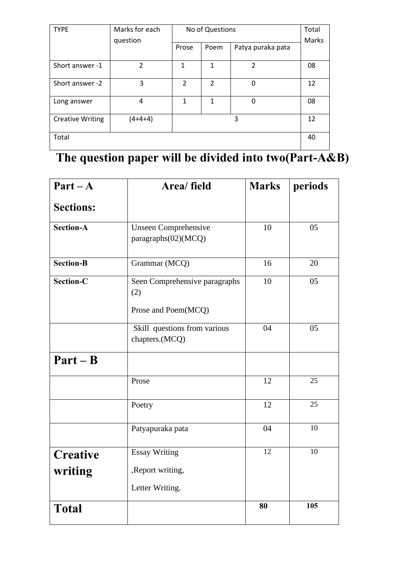| <b>TYPE</b>             | Marks for each           | No of Questions |                | Total             |       |
|-------------------------|--------------------------|-----------------|----------------|-------------------|-------|
|                         | question                 | Prose           | Poem           | Patya puraka pata | Marks |
|                         |                          |                 |                |                   |       |
| Short answer -1         | $\overline{\mathcal{L}}$ | 1               | 1              | $\mathfrak{p}$    | 08    |
| Short answer -2         | 3                        | 2               | $\overline{2}$ | 0                 | 12    |
| Long answer             | 4                        | 1               | 1              | 0                 | 08    |
| <b>Creative Writing</b> | $(4+4+4)$                |                 |                | 3                 | 12    |
| Total                   |                          |                 |                |                   | 40    |

### **The question paper will be divided into two(Part-A&B)**

| $Part - A$       | Area/ field                                        |    | periods |
|------------------|----------------------------------------------------|----|---------|
| <b>Sections:</b> |                                                    |    |         |
| <b>Section-A</b> | <b>Unseen Comprehensive</b><br>paragraphs(02)(MCQ) | 10 | 05      |
| <b>Section-B</b> | Grammar (MCQ)                                      | 16 | 20      |
| <b>Section-C</b> | Seen Comprehensive paragraphs<br>(2)               | 10 | 05      |
|                  | Prose and Poem(MCQ)                                |    |         |
|                  | Skill questions from various<br>chapters.(MCQ)     | 04 | 05      |
| $Part - B$       |                                                    |    |         |
|                  | Prose                                              | 12 | 25      |
|                  | Poetry                                             | 12 | 25      |
|                  | Patyapuraka pata                                   | 04 | 10      |
| <b>Creative</b>  | <b>Essay Writing</b>                               | 12 | 10      |
| writing          | , Report writing,                                  |    |         |
|                  | Letter Writing.                                    |    |         |
| <b>Total</b>     |                                                    | 80 | 105     |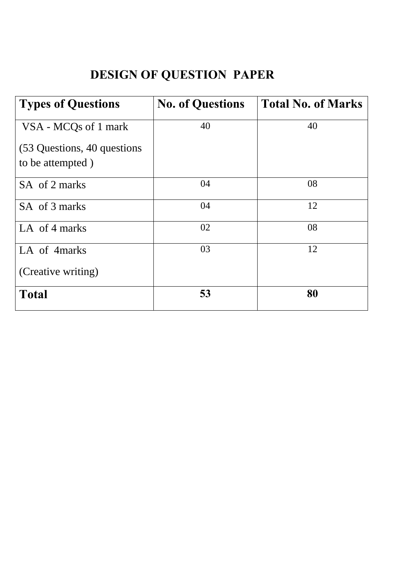### **DESIGN OF QUESTION PAPER**

| <b>Types of Questions</b>    | <b>No. of Questions</b> | <b>Total No. of Marks</b> |
|------------------------------|-------------------------|---------------------------|
| VSA - MCQs of 1 mark         | 40                      | 40                        |
| (53 Questions, 40 questions) |                         |                           |
| to be attempted)             |                         |                           |
| SA of 2 marks                | 04                      | 08                        |
| SA of 3 marks                | 04                      | 12                        |
| LA of 4 marks                | 02                      | 08                        |
| LA of 4marks                 | 03                      | 12                        |
| (Creative writing)           |                         |                           |
| <b>Total</b>                 | 53                      | 80                        |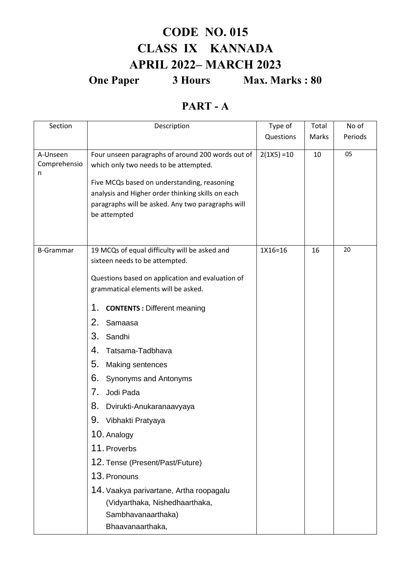### **CODE NO. 015 CLASS IX KANNADA APRIL 2022– MARCH 2023**

**One Paper** 3 Hours Max. Marks : 80

#### **PART - A**

| Section                       | Description                                                                                                                                                                                                                                                                                                                                                                                                                                                                                                                                                                                                                         | Type of       | Total | No of   |
|-------------------------------|-------------------------------------------------------------------------------------------------------------------------------------------------------------------------------------------------------------------------------------------------------------------------------------------------------------------------------------------------------------------------------------------------------------------------------------------------------------------------------------------------------------------------------------------------------------------------------------------------------------------------------------|---------------|-------|---------|
|                               |                                                                                                                                                                                                                                                                                                                                                                                                                                                                                                                                                                                                                                     | Questions     | Marks | Periods |
| A-Unseen<br>Comprehensio<br>n | Four unseen paragraphs of around 200 words out of<br>which only two needs to be attempted.<br>Five MCQs based on understanding, reasoning<br>analysis and Higher order thinking skills on each<br>paragraphs will be asked. Any two paragraphs will<br>be attempted                                                                                                                                                                                                                                                                                                                                                                 | $2(1X5) = 10$ | 10    | 05      |
| <b>B-Grammar</b>              | 19 MCQs of equal difficulty will be asked and<br>sixteen needs to be attempted.<br>Questions based on application and evaluation of<br>grammatical elements will be asked.<br>1.<br><b>CONTENTS: Different meaning</b><br>2.<br>Samaasa<br>3.<br>Sandhi<br>4.<br>Tatsama-Tadbhava<br>5.<br>Making sentences<br>6.<br>Synonyms and Antonyms<br>7.<br>Jodi Pada<br>8.<br>Dvirukti-Anukaranaavyaya<br>9.<br>Vibhakti Pratyaya<br>10. Analogy<br>11. Proverbs<br>12. Tense (Present/Past/Future)<br>13. Pronouns<br>14. Vaakya parivartane, Artha roopagalu<br>(Vidyarthaka, Nishedhaarthaka,<br>Sambhavanaarthaka)<br>Bhaavanaarthaka, | 1X16=16       | 16    | 20      |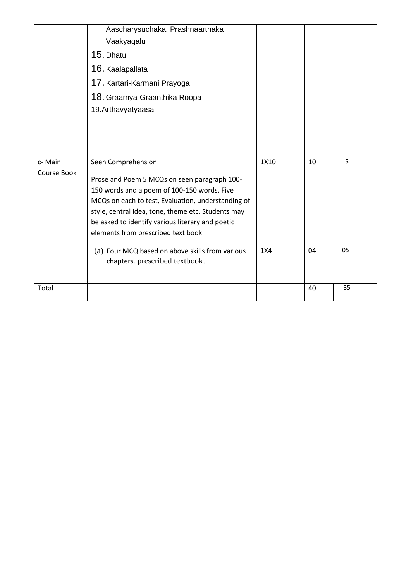|             | Aascharysuchaka, Prashnaarthaka                    |      |    |    |
|-------------|----------------------------------------------------|------|----|----|
|             | Vaakyagalu                                         |      |    |    |
|             | 15. Dhatu                                          |      |    |    |
|             | 16. Kaalapallata                                   |      |    |    |
|             | 17. Kartari-Karmani Prayoga                        |      |    |    |
|             | 18. Graamya-Graanthika Roopa                       |      |    |    |
|             | 19. Arthavyatyaasa                                 |      |    |    |
|             |                                                    |      |    |    |
|             |                                                    |      |    |    |
|             |                                                    |      |    |    |
| c-Main      | Seen Comprehension                                 | 1X10 | 10 | 5  |
| Course Book | Prose and Poem 5 MCQs on seen paragraph 100-       |      |    |    |
|             | 150 words and a poem of 100-150 words. Five        |      |    |    |
|             | MCQs on each to test, Evaluation, understanding of |      |    |    |
|             | style, central idea, tone, theme etc. Students may |      |    |    |
|             | be asked to identify various literary and poetic   |      |    |    |
|             | elements from prescribed text book                 |      |    |    |
|             | (a) Four MCQ based on above skills from various    | 1X4  | 04 | 05 |
|             | chapters. prescribed textbook.                     |      |    |    |
|             |                                                    |      |    |    |
| Total       |                                                    |      | 40 | 35 |
|             |                                                    |      |    |    |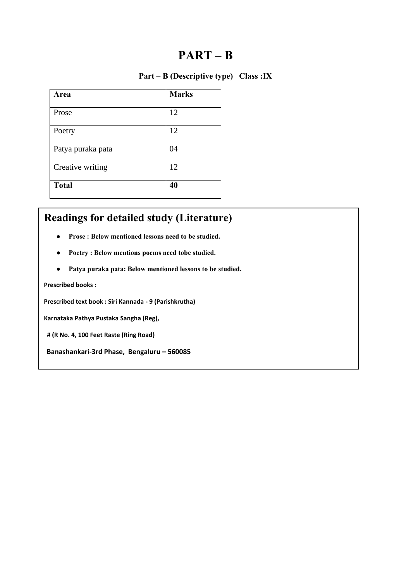#### **PART – B**

#### **Part – B (Descriptive type) Class :IX**

| Area              | <b>Marks</b> |
|-------------------|--------------|
| Prose             | 12           |
| Poetry            | 12           |
| Patya puraka pata | 04           |
| Creative writing  | 12           |
| <b>Total</b>      | 40           |

#### **Readings for detailed study (Literature)**

- **Prose : Below mentioned lessons need to be studied.**
- **Poetry : Below mentions poems need tobe studied.**
- **Patya puraka pata: Below mentioned lessons to be studied.**

**Prescribed books :** 

**Prescribed text book : Siri Kannada - 9 (Parishkrutha)** 

**Karnataka Pathya Pustaka Sangha (Reg),** 

 **# (R No. 4, 100 Feet Raste (Ring Road)** 

**Banashankari-3rd Phase, Bengaluru – 560085**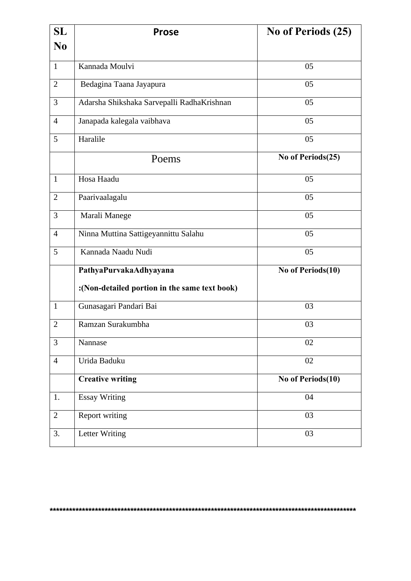| <b>SL</b>      | <b>Prose</b>                                  | No of Periods (25) |
|----------------|-----------------------------------------------|--------------------|
| N <sub>0</sub> |                                               |                    |
| $\mathbf{1}$   | Kannada Moulvi                                | 05                 |
| $\overline{2}$ | Bedagina Taana Jayapura                       | 05                 |
| 3              | Adarsha Shikshaka Sarvepalli RadhaKrishnan    | 05                 |
| $\overline{4}$ | Janapada kalegala vaibhava                    | 05                 |
| 5              | Haralile                                      | 05                 |
|                | Poems                                         | No of Periods(25)  |
| $\mathbf{1}$   | Hosa Haadu                                    | 05                 |
| $\overline{2}$ | Paarivaalagalu                                | 05                 |
| 3              | Marali Manege                                 | 05                 |
| $\overline{4}$ | Ninna Muttina Sattigeyannittu Salahu          | 05                 |
| 5              | Kannada Naadu Nudi                            | 05                 |
|                | PathyaPurvakaAdhyayana                        | No of Periods(10)  |
|                | :(Non-detailed portion in the same text book) |                    |
| $\mathbf{1}$   | Gunasagari Pandari Bai                        | 03                 |
| $\overline{2}$ | Ramzan Surakumbha                             | 03                 |
| 3              | Nannase                                       | 02                 |
| $\overline{4}$ | Urida Baduku                                  | 02                 |
|                | <b>Creative writing</b>                       | No of Periods(10)  |
| 1.             | <b>Essay Writing</b>                          | 04                 |
| $\overline{2}$ | Report writing                                | 03                 |
| 3.             | Letter Writing                                | 03                 |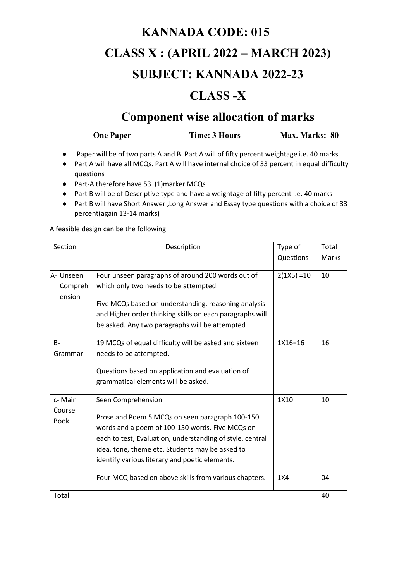## **KANNADA CODE: 015 CLASS X : (APRIL 2022 – MARCH 2023) SUBJECT: KANNADA 2022-23**

### **CLASS -X**

#### **Component wise allocation of marks**

**One Paper** Time: 3 Hours Max. Marks: 80

- Paper will be of two parts A and B. Part A will of fifty percent weightage i.e. 40 marks
- Part A will have all MCQs. Part A will have internal choice of 33 percent in equal difficulty questions
- Part-A therefore have 53 (1)marker MCQs
- Part B will be of Descriptive type and have a weightage of fifty percent i.e. 40 marks
- Part B will have Short Answer ,Long Answer and Essay type questions with a choice of 33 percent(again 13-14 marks)

A feasible design can be the following

| Section              | Description                                                                                                                                                        | Type of       | Total        |
|----------------------|--------------------------------------------------------------------------------------------------------------------------------------------------------------------|---------------|--------------|
|                      |                                                                                                                                                                    | Questions     | <b>Marks</b> |
| A- Unseen<br>Compreh | Four unseen paragraphs of around 200 words out of<br>which only two needs to be attempted.                                                                         | $2(1X5) = 10$ | 10           |
| ension               | Five MCQs based on understanding, reasoning analysis<br>and Higher order thinking skills on each paragraphs will<br>be asked. Any two paragraphs will be attempted |               |              |
| $B -$<br>Grammar     | 19 MCQs of equal difficulty will be asked and sixteen<br>needs to be attempted.                                                                                    | $1X16=16$     | 16           |
|                      | Questions based on application and evaluation of<br>grammatical elements will be asked.                                                                            |               |              |
| c-Main<br>Course     | Seen Comprehension                                                                                                                                                 | 1X10          | 10           |
| <b>Book</b>          | Prose and Poem 5 MCQs on seen paragraph 100-150<br>words and a poem of 100-150 words. Five MCQs on                                                                 |               |              |
|                      | each to test, Evaluation, understanding of style, central                                                                                                          |               |              |
|                      | idea, tone, theme etc. Students may be asked to<br>identify various literary and poetic elements.                                                                  |               |              |
|                      | Four MCQ based on above skills from various chapters.                                                                                                              | 1X4           | 04           |
| Total                |                                                                                                                                                                    |               | 40           |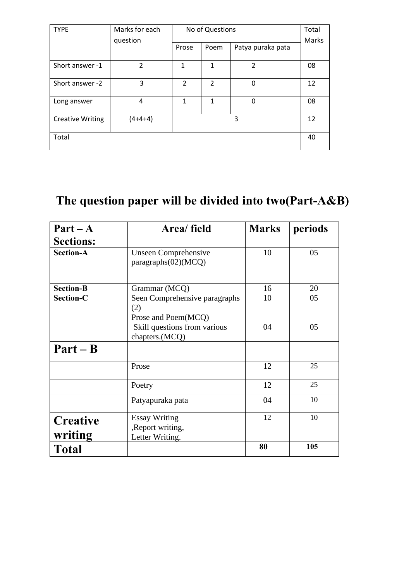| <b>TYPE</b>             | Marks for each | No of Questions |                |                   | Total |
|-------------------------|----------------|-----------------|----------------|-------------------|-------|
|                         | question       | Prose           | Poem           | Patya puraka pata | Marks |
| Short answer -1         | $\mathfrak{p}$ | 1               | 1              | $\overline{2}$    | 08    |
| Short answer -2         | 3              | $\overline{2}$  | $\overline{2}$ | 0                 | 12    |
| Long answer             | 4              | 1               | 1              | 0                 | 08    |
| <b>Creative Writing</b> | $(4+4+4)$      |                 |                | 3                 | 12    |
| Total                   |                |                 |                |                   | 40    |

### **The question paper will be divided into two(Part-A&B)**

| $Part - A$                                                                      | Area/ field                                                  | <b>Marks</b> | periods |
|---------------------------------------------------------------------------------|--------------------------------------------------------------|--------------|---------|
| <b>Sections:</b>                                                                |                                                              |              |         |
| <b>Section-A</b><br><b>Unseen Comprehensive</b><br>paragraphs(02)(MCQ)          |                                                              | 10           | 05      |
| <b>Section-B</b>                                                                | Grammar (MCQ)                                                | 16           | 20      |
| <b>Section-C</b><br>Seen Comprehensive paragraphs<br>(2)<br>Prose and Poem(MCQ) |                                                              | 10           | 05      |
|                                                                                 | Skill questions from various<br>chapters.(MCQ)               | 04           | 05      |
| $Part - B$                                                                      |                                                              |              |         |
|                                                                                 | Prose                                                        | 12           | 25      |
|                                                                                 | Poetry                                                       | 12           | 25      |
|                                                                                 | Patyapuraka pata                                             | 04           | 10      |
| <b>Creative</b><br>writing                                                      | <b>Essay Writing</b><br>, Report writing,<br>Letter Writing. | 12           | 10      |
| <b>Total</b>                                                                    |                                                              | 80           | 105     |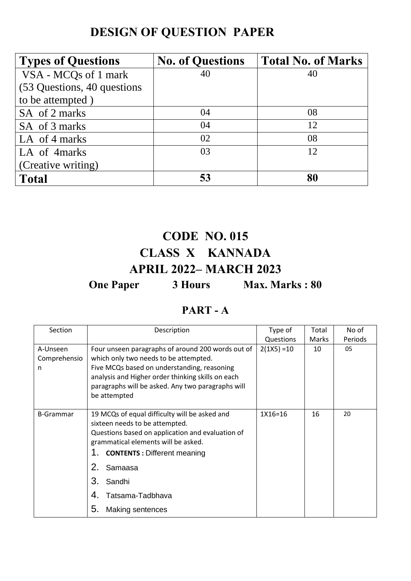### **DESIGN OF QUESTION PAPER**

| <b>Types of Questions</b>    | <b>No. of Questions</b> | <b>Total No. of Marks</b> |
|------------------------------|-------------------------|---------------------------|
| VSA - MCQs of 1 mark         | 40                      | 40                        |
| (53 Questions, 40 questions) |                         |                           |
| to be attempted)             |                         |                           |
| SA of 2 marks                | 04                      | 08                        |
| SA of 3 marks                | 04                      | 12                        |
| LA of 4 marks                | 02                      | 08                        |
| LA of 4 marks                | 03                      | 12                        |
| (Creative writing)           |                         |                           |
| <b>Total</b>                 | 53                      | 80                        |

### **CODE NO. 015 CLASS X KANNADA APRIL 2022– MARCH 2023 One Paper** 3 Hours Max. Marks : 80

#### **PART - A**

| Section                       | Description                                                                                                                                                                                                                                                                                                 | Type of       | Total | No of   |
|-------------------------------|-------------------------------------------------------------------------------------------------------------------------------------------------------------------------------------------------------------------------------------------------------------------------------------------------------------|---------------|-------|---------|
|                               |                                                                                                                                                                                                                                                                                                             | Questions     | Marks | Periods |
| A-Unseen<br>Comprehensio<br>n | Four unseen paragraphs of around 200 words out of<br>which only two needs to be attempted.<br>Five MCQs based on understanding, reasoning<br>analysis and Higher order thinking skills on each<br>paragraphs will be asked. Any two paragraphs will<br>be attempted                                         | $2(1X5) = 10$ | 10    | 05      |
| <b>B-Grammar</b>              | 19 MCQs of equal difficulty will be asked and<br>sixteen needs to be attempted.<br>Questions based on application and evaluation of<br>grammatical elements will be asked.<br><b>CONTENTS: Different meaning</b><br>1.<br>2.<br>Samaasa<br>З.<br>Sandhi<br>Tatsama-Tadbhava<br>4.<br>5.<br>Making sentences | 1X16=16       | 16    | 20      |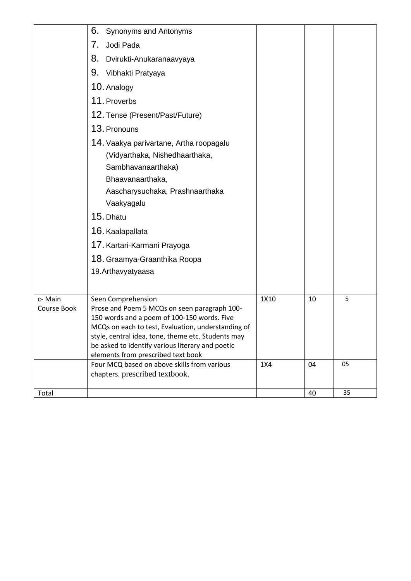|                       | 6.<br>Synonyms and Antonyms                                                                                                                                                                                                                                                                                             |      |    |    |
|-----------------------|-------------------------------------------------------------------------------------------------------------------------------------------------------------------------------------------------------------------------------------------------------------------------------------------------------------------------|------|----|----|
|                       | 7.<br>Jodi Pada                                                                                                                                                                                                                                                                                                         |      |    |    |
|                       | 8.<br>Dvirukti-Anukaranaavyaya                                                                                                                                                                                                                                                                                          |      |    |    |
|                       | 9.<br>Vibhakti Pratyaya                                                                                                                                                                                                                                                                                                 |      |    |    |
|                       | 10. Analogy                                                                                                                                                                                                                                                                                                             |      |    |    |
|                       | 11. Proverbs                                                                                                                                                                                                                                                                                                            |      |    |    |
|                       | 12. Tense (Present/Past/Future)                                                                                                                                                                                                                                                                                         |      |    |    |
|                       | 13. Pronouns                                                                                                                                                                                                                                                                                                            |      |    |    |
|                       | 14. Vaakya parivartane, Artha roopagalu<br>(Vidyarthaka, Nishedhaarthaka,<br>Sambhavanaarthaka)<br>Bhaavanaarthaka,<br>Aascharysuchaka, Prashnaarthaka<br>Vaakyagalu<br>15. Dhatu<br>16. Kaalapallata<br>17. Kartari-Karmani Prayoga<br>18. Graamya-Graanthika Roopa<br>19. Arthavyatyaasa                              |      |    |    |
| c-Main<br>Course Book | Seen Comprehension<br>Prose and Poem 5 MCQs on seen paragraph 100-<br>150 words and a poem of 100-150 words. Five<br>MCQs on each to test, Evaluation, understanding of<br>style, central idea, tone, theme etc. Students may<br>be asked to identify various literary and poetic<br>elements from prescribed text book | 1X10 | 10 | 5  |
|                       | Four MCQ based on above skills from various                                                                                                                                                                                                                                                                             | 1X4  | 04 | 05 |
|                       | chapters. prescribed textbook.                                                                                                                                                                                                                                                                                          |      |    |    |
| Total                 |                                                                                                                                                                                                                                                                                                                         |      | 40 | 35 |